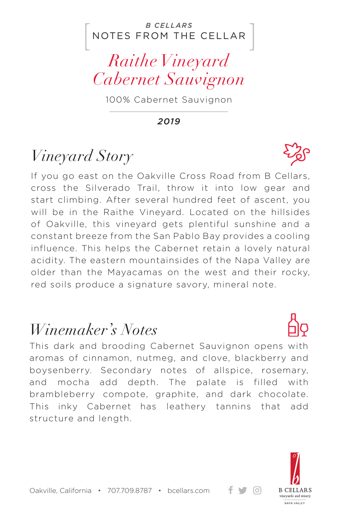#### NOTES FROM THE CELLAR *B CELLARS*

## *Raithe Vineyard Cabernet Sauvignon*

100% Cabernet Sauvignon

*2019*

# *Vineyard Story*

If you go east on the Oakville Cross Road from B Cellars, cross the Silverado Trail, throw it into low gear and start climbing. After several hundred feet of ascent, you will be in the Raithe Vineyard. Located on the hillsides of Oakville, this vineyard gets plentiful sunshine and a constant breeze from the San Pablo Bay provides a cooling influence. This helps the Cabernet retain a lovely natural acidity. The eastern mountainsides of the Napa Valley are older than the Mayacamas on the west and their rocky, red soils produce a signature savory, mineral note.

### *Winemaker's Notes*

This dark and brooding Cabernet Sauvignon opens with aromas of cinnamon, nutmeg, and clove, blackberry and boysenberry. Secondary notes of allspice, rosemary, and mocha add depth. The palate is filled with brambleberry compote, graphite, and dark chocolate. This inky Cabernet has leathery tannins that add structure and length.



+ ⊌ ⊺⊙

Oakville, California • 707.709.8787 • bcellars.com